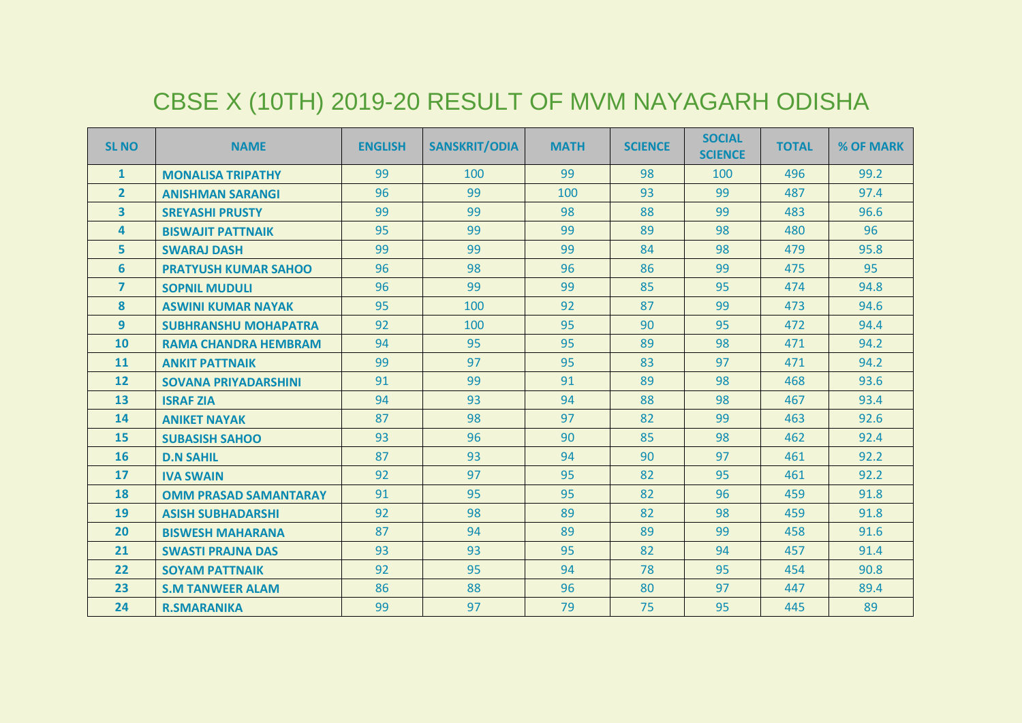## CBSE X (10TH) 2019-20 RESULT OF MVM NAYAGARH ODISHA

| <b>SL NO</b>            | <b>NAME</b>                  | <b>ENGLISH</b> | <b>SANSKRIT/ODIA</b> | <b>MATH</b> | <b>SCIENCE</b> | <b>SOCIAL</b><br><b>SCIENCE</b> | <b>TOTAL</b> | % OF MARK |
|-------------------------|------------------------------|----------------|----------------------|-------------|----------------|---------------------------------|--------------|-----------|
| $\mathbf{1}$            | <b>MONALISA TRIPATHY</b>     | 99             | 100                  | 99          | 98             | 100                             | 496          | 99.2      |
| $\overline{2}$          | <b>ANISHMAN SARANGI</b>      | 96             | 99                   | 100         | 93             | 99                              | 487          | 97.4      |
| $\overline{\mathbf{3}}$ | <b>SREYASHI PRUSTY</b>       | 99             | 99                   | 98          | 88             | 99                              | 483          | 96.6      |
| 4                       | <b>BISWAJIT PATTNAIK</b>     | 95             | 99                   | 99          | 89             | 98                              | 480          | 96        |
| 5                       | <b>SWARAJ DASH</b>           | 99             | 99                   | 99          | 84             | 98                              | 479          | 95.8      |
| 6                       | <b>PRATYUSH KUMAR SAHOO</b>  | 96             | 98                   | 96          | 86             | 99                              | 475          | 95        |
| $\overline{7}$          | <b>SOPNIL MUDULI</b>         | 96             | 99                   | 99          | 85             | 95                              | 474          | 94.8      |
| 8                       | <b>ASWINI KUMAR NAYAK</b>    | 95             | 100                  | 92          | 87             | 99                              | 473          | 94.6      |
| 9 <sup>°</sup>          | <b>SUBHRANSHU MOHAPATRA</b>  | 92             | 100                  | 95          | 90             | 95                              | 472          | 94.4      |
| 10                      | <b>RAMA CHANDRA HEMBRAM</b>  | 94             | 95                   | 95          | 89             | 98                              | 471          | 94.2      |
| 11                      | <b>ANKIT PATTNAIK</b>        | 99             | 97                   | 95          | 83             | 97                              | 471          | 94.2      |
| 12                      | <b>SOVANA PRIYADARSHINI</b>  | 91             | 99                   | 91          | 89             | 98                              | 468          | 93.6      |
| 13                      | <b>ISRAF ZIA</b>             | 94             | 93                   | 94          | 88             | 98                              | 467          | 93.4      |
| 14                      | <b>ANIKET NAYAK</b>          | 87             | 98                   | 97          | 82             | 99                              | 463          | 92.6      |
| 15                      | <b>SUBASISH SAHOO</b>        | 93             | 96                   | 90          | 85             | 98                              | 462          | 92.4      |
| 16                      | <b>D.N SAHIL</b>             | 87             | 93                   | 94          | 90             | 97                              | 461          | 92.2      |
| 17                      | <b>IVA SWAIN</b>             | 92             | 97                   | 95          | 82             | 95                              | 461          | 92.2      |
| 18                      | <b>OMM PRASAD SAMANTARAY</b> | 91             | 95                   | 95          | 82             | 96                              | 459          | 91.8      |
| 19                      | <b>ASISH SUBHADARSHI</b>     | 92             | 98                   | 89          | 82             | 98                              | 459          | 91.8      |
| 20                      | <b>BISWESH MAHARANA</b>      | 87             | 94                   | 89          | 89             | 99                              | 458          | 91.6      |
| 21                      | <b>SWASTI PRAJNA DAS</b>     | 93             | 93                   | 95          | 82             | 94                              | 457          | 91.4      |
| 22                      | <b>SOYAM PATTNAIK</b>        | 92             | 95                   | 94          | 78             | 95                              | 454          | 90.8      |
| 23                      | <b>S.M TANWEER ALAM</b>      | 86             | 88                   | 96          | 80             | 97                              | 447          | 89.4      |
| 24                      | <b>R.SMARANIKA</b>           | 99             | 97                   | 79          | 75             | 95                              | 445          | 89        |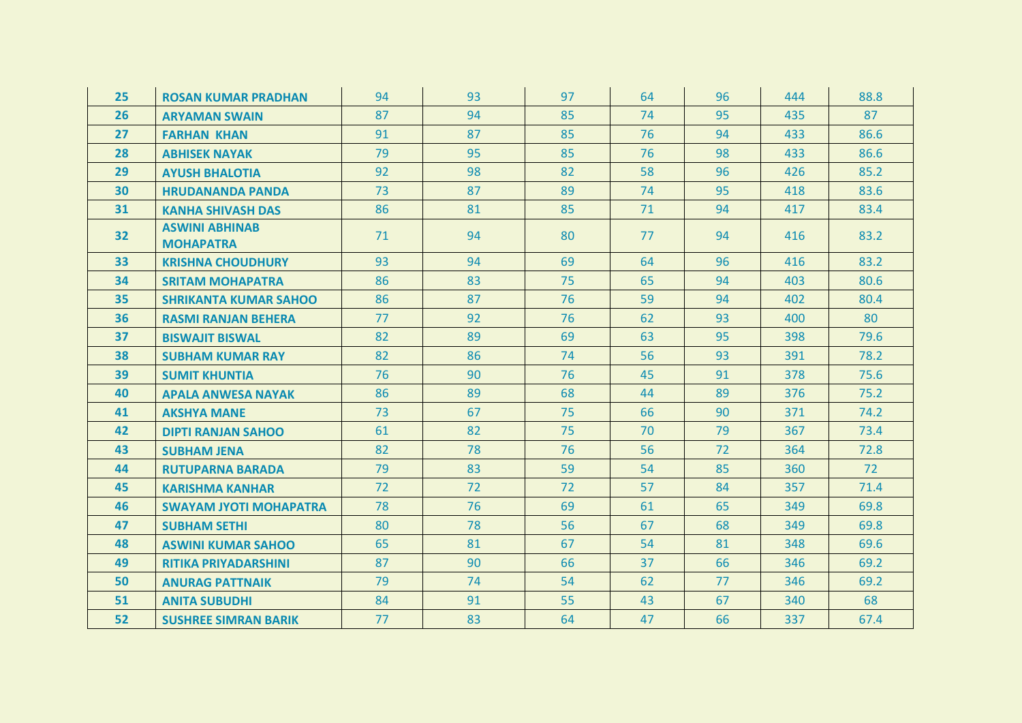| 25 | <b>ROSAN KUMAR PRADHAN</b>                | 94 | 93 | 97 | 64 | 96 | 444 | 88.8 |
|----|-------------------------------------------|----|----|----|----|----|-----|------|
| 26 | <b>ARYAMAN SWAIN</b>                      | 87 | 94 | 85 | 74 | 95 | 435 | 87   |
| 27 | <b>FARHAN KHAN</b>                        | 91 | 87 | 85 | 76 | 94 | 433 | 86.6 |
| 28 | <b>ABHISEK NAYAK</b>                      | 79 | 95 | 85 | 76 | 98 | 433 | 86.6 |
| 29 | <b>AYUSH BHALOTIA</b>                     | 92 | 98 | 82 | 58 | 96 | 426 | 85.2 |
| 30 | <b>HRUDANANDA PANDA</b>                   | 73 | 87 | 89 | 74 | 95 | 418 | 83.6 |
| 31 | <b>KANHA SHIVASH DAS</b>                  | 86 | 81 | 85 | 71 | 94 | 417 | 83.4 |
| 32 | <b>ASWINI ABHINAB</b><br><b>MOHAPATRA</b> | 71 | 94 | 80 | 77 | 94 | 416 | 83.2 |
| 33 | <b>KRISHNA CHOUDHURY</b>                  | 93 | 94 | 69 | 64 | 96 | 416 | 83.2 |
| 34 | <b>SRITAM MOHAPATRA</b>                   | 86 | 83 | 75 | 65 | 94 | 403 | 80.6 |
| 35 | <b>SHRIKANTA KUMAR SAHOO</b>              | 86 | 87 | 76 | 59 | 94 | 402 | 80.4 |
| 36 | <b>RASMI RANJAN BEHERA</b>                | 77 | 92 | 76 | 62 | 93 | 400 | 80   |
| 37 | <b>BISWAJIT BISWAL</b>                    | 82 | 89 | 69 | 63 | 95 | 398 | 79.6 |
| 38 | <b>SUBHAM KUMAR RAY</b>                   | 82 | 86 | 74 | 56 | 93 | 391 | 78.2 |
| 39 | <b>SUMIT KHUNTIA</b>                      | 76 | 90 | 76 | 45 | 91 | 378 | 75.6 |
| 40 | <b>APALA ANWESA NAYAK</b>                 | 86 | 89 | 68 | 44 | 89 | 376 | 75.2 |
| 41 | <b>AKSHYA MANE</b>                        | 73 | 67 | 75 | 66 | 90 | 371 | 74.2 |
| 42 | <b>DIPTI RANJAN SAHOO</b>                 | 61 | 82 | 75 | 70 | 79 | 367 | 73.4 |
| 43 | <b>SUBHAM JENA</b>                        | 82 | 78 | 76 | 56 | 72 | 364 | 72.8 |
| 44 | <b>RUTUPARNA BARADA</b>                   | 79 | 83 | 59 | 54 | 85 | 360 | 72   |
| 45 | <b>KARISHMA KANHAR</b>                    | 72 | 72 | 72 | 57 | 84 | 357 | 71.4 |
| 46 | <b>SWAYAM JYOTI MOHAPATRA</b>             | 78 | 76 | 69 | 61 | 65 | 349 | 69.8 |
| 47 | <b>SUBHAM SETHI</b>                       | 80 | 78 | 56 | 67 | 68 | 349 | 69.8 |
| 48 | <b>ASWINI KUMAR SAHOO</b>                 | 65 | 81 | 67 | 54 | 81 | 348 | 69.6 |
| 49 | <b>RITIKA PRIYADARSHINI</b>               | 87 | 90 | 66 | 37 | 66 | 346 | 69.2 |
| 50 | <b>ANURAG PATTNAIK</b>                    | 79 | 74 | 54 | 62 | 77 | 346 | 69.2 |
| 51 | <b>ANITA SUBUDHI</b>                      | 84 | 91 | 55 | 43 | 67 | 340 | 68   |
| 52 | <b>SUSHREE SIMRAN BARIK</b>               | 77 | 83 | 64 | 47 | 66 | 337 | 67.4 |